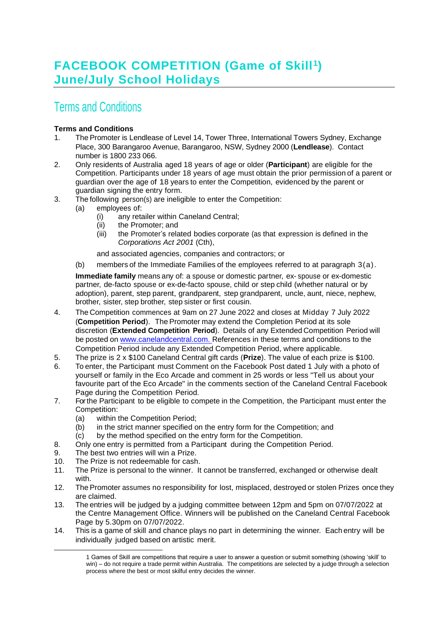## Terms and Conditions

## **Terms and Conditions**

- 1. The Promoter is Lendlease of Level 14, Tower Three, International Towers Sydney, Exchange Place, 300 Barangaroo Avenue, Barangaroo, NSW, Sydney 2000 (**Lendlease**). Contact number is 1800 233 066.
- 2. Only residents of Australia aged 18 years of age or older (**Participant**) are eligible for the Competition. Participants under 18 years of age must obtain the prior permission of a parent or guardian over the age of 18 years to enter the Competition, evidenced by the parent or guardian signing the entry form.
- 3. The following person(s) are ineligible to enter the Competition:
	- (a) employees of:
		- (i) any retailer within Caneland Central;
		- (ii) the Promoter; and
		- (iii) the Promoter's related bodies corporate (as that expression is defined in the *Corporations Act 2001* (Cth),

and associated agencies, companies and contractors; or

(b) members of the Immediate Families of the employees referred to at paragraph 3(a).

**Immediate family** means any of: a spouse or domestic partner, ex- spouse or ex-domestic partner, de-facto spouse or ex-de-facto spouse, child or step child (whether natural or by adoption), parent, step parent, grandparent, step grandparent, uncle, aunt, niece, nephew, brother, sister, step brother, step sister or first cousin.

- 4. The Competition commences at 9am on 27 June 2022 and closes at Midday 7 July 2022 (**Competition Period**). The Promoter may extend the Completion Period at its sole discretion (**Extended Competition Period**). Details of any Extended Competition Period will be posted on [www.canelandcentral.com.](http://www.canelandcentral.com/) References in these terms and conditions to the Competition Period include any Extended Competition Period, where applicable.
- 5. The prize is 2 x \$100 Caneland Central gift cards (**Prize**). The value of each prize is \$100.
- 6. To enter, the Participant must Comment on the Facebook Post dated 1 July with a photo of yourself or family in the Eco Arcade and comment in 25 words or less "Tell us about your favourite part of the Eco Arcade" in the comments section of the Caneland Central Facebook Page during the Competition Period.
- 7. Forthe Participant to be eligible to compete in the Competition, the Participant must enter the Competition:
	- (a) within the Competition Period;
	- (b) in the strict manner specified on the entry form for the Competition; and
	- (c) by the method specified on the entry form for the Competition.
- 8. Only one entry is permitted from a Participant during the Competition Period.
- 9. The best two entries will win a Prize.
- 10. The Prize is not redeemable for cash.
- 11. The Prize is personal to the winner. It cannot be transferred, exchanged or otherwise dealt with.
- 12. The Promoter assumes no responsibility for lost, misplaced, destroyed or stolen Prizes once they are claimed.
- 13. The entries will be judged by a judging committee between 12pm and 5pm on 07/07/2022 at the Centre Management Office. Winners will be published on the Caneland Central Facebook Page by 5.30pm on 07/07/2022.
- 14. This is a game of skill and chance plays no part in determining the winner. Each entry will be individually judged based on artistic merit.

<sup>1</sup> Games of Skill are competitions that require a user to answer a question or submit something (showing 'skill' to win) – do not require a trade permit within Australia. The competitions are selected by a judge through a selection process where the best or most skilful entry decides the winner.